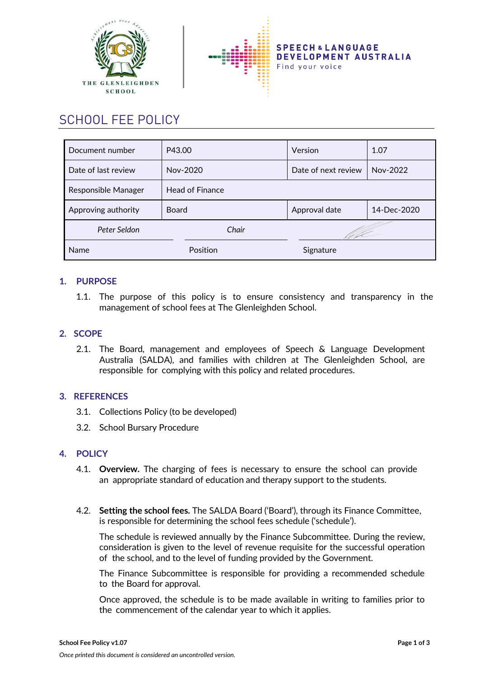



# SCHOOL FEE POLICY

| Document number     | P43.00                 | Version             | 1.07        |
|---------------------|------------------------|---------------------|-------------|
| Date of last review | Nov-2020               | Date of next review | Nov-2022    |
| Responsible Manager | <b>Head of Finance</b> |                     |             |
| Approving authority | <b>Board</b>           | Approval date       | 14-Dec-2020 |
| Peter Seldon        | Chair                  |                     |             |
| Name                | Position               | Signature           |             |

## **1. PURPOSE**

1.1. The purpose of this policy is to ensure consistency and transparency in the management of school fees at The Glenleighden School.

### **2. SCOPE**

2.1. The Board, management and employees of Speech & Language Development Australia (SALDA), and families with children at The Glenleighden School, are responsible for complying with this policy and related procedures.

### **3. REFERENCES**

- 3.1. Collections Policy (to be developed)
- 3.2. School Bursary Procedure

### **4. POLICY**

- 4.1. **Overview.** The charging of fees is necessary to ensure the school can provide an appropriate standard of education and therapy support to the students.
- 4.2. **Setting the school fees.** The SALDA Board ('Board'), through its Finance Committee, is responsible for determining the school fees schedule ('schedule').

The schedule is reviewed annually by the Finance Subcommittee. During the review, consideration is given to the level of revenue requisite for the successful operation of the school, and to the level of funding provided by the Government.

The Finance Subcommittee is responsible for providing a recommended schedule to the Board for approval.

Once approved, the schedule is to be made available in writing to families prior to the commencement of the calendar year to which it applies.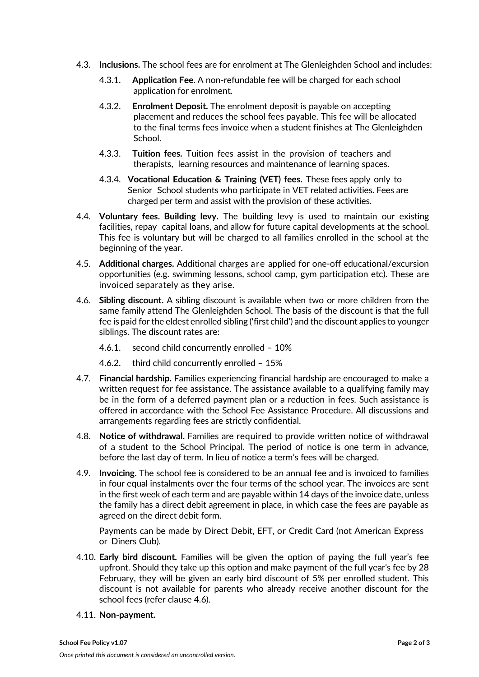- 4.3. **Inclusions.** The school fees are for enrolment at The Glenleighden School and includes:
	- 4.3.1. **Application Fee.** A non-refundable fee will be charged for each school application for enrolment.
	- 4.3.2. **Enrolment Deposit.** The enrolment deposit is payable on accepting placement and reduces the school fees payable. This fee will be allocated to the final terms fees invoice when a student finishes at The Glenleighden School.
	- 4.3.3. **Tuition fees.** Tuition fees assist in the provision of teachers and therapists, learning resources and maintenance of learning spaces.
	- 4.3.4. **Vocational Education & Training (VET) fees.** These fees apply only to Senior School students who participate in VET related activities. Fees are charged per term and assist with the provision of these activities.
- 4.4. **Voluntary fees. Building levy.** The building levy is used to maintain our existing facilities, repay capital loans, and allow for future capital developments at the school. This fee is voluntary but will be charged to all families enrolled in the school at the beginning of the year.
- 4.5. **Additional charges.** Additional charges are applied for one-off educational/excursion opportunities (e.g. swimming lessons, school camp, gym participation etc). These are invoiced separately as they arise.
- 4.6. **Sibling discount.** A sibling discount is available when two or more children from the same family attend The Glenleighden School. The basis of the discount is that the full fee is paid forthe eldest enrolled sibling ('first child') and the discount applies to younger siblings. The discount rates are:
	- 4.6.1. second child concurrently enrolled 10%
	- 4.6.2. third child concurrently enrolled 15%
- 4.7. **Financial hardship.** Families experiencing financial hardship are encouraged to make a written request for fee assistance. The assistance available to a qualifying family may be in the form of a deferred payment plan or a reduction in fees. Such assistance is offered in accordance with the School Fee Assistance Procedure. All discussions and arrangements regarding fees are strictly confidential.
- 4.8. **Notice of withdrawal.** Families are required to provide written notice of withdrawal of a student to the School Principal. The period of notice is one term in advance, before the last day of term. In lieu of notice a term's fees will be charged.
- 4.9. **Invoicing.** The school fee is considered to be an annual fee and is invoiced to families in four equal instalments over the four terms of the school year. The invoices are sent in the first week of each term and are payable within 14 days of the invoice date, unless the family has a direct debit agreement in place, in which case the fees are payable as agreed on the direct debit form.

Payments can be made by Direct Debit, EFT, or Credit Card (not American Express or Diners Club).

- 4.10. **Early bird discount.** Families will be given the option of paying the full year's fee upfront. Should they take up this option and make payment of the full year's fee by 28 February, they will be given an early bird discount of 5% per enrolled student. This discount is not available for parents who already receive another discount for the school fees (refer clause 4.6).
- 4.11. **Non-payment.**